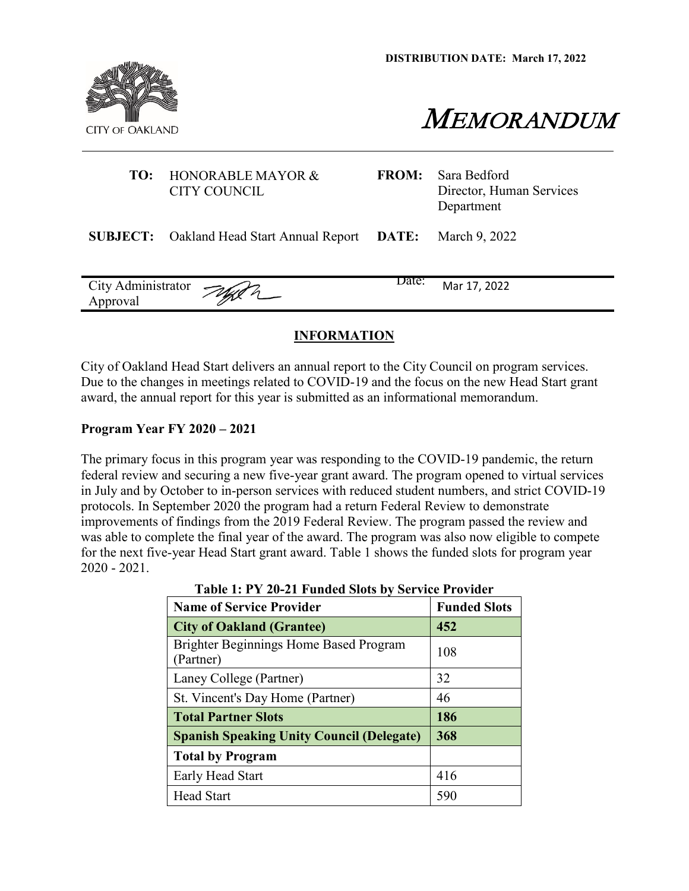**DISTRIBUTION DATE: March 17, 2022**



MEMORANDUM

|          | <b>TO:</b> HONORABLE MAYOR &<br><b>CITY COUNCIL</b>    | <b>FROM:</b> | Sara Bedford<br>Director, Human Services<br>Department |
|----------|--------------------------------------------------------|--------------|--------------------------------------------------------|
|          | <b>SUBJECT:</b> Oakland Head Start Annual Report DATE: |              | March 9, 2022                                          |
| Approval | City Administrator Jugen                               | Date:        | Mar 17, 2022                                           |

# **INFORMATION**

City of Oakland Head Start delivers an annual report to the City Council on program services. Due to the changes in meetings related to COVID-19 and the focus on the new Head Start grant award, the annual report for this year is submitted as an informational memorandum.

## **Program Year FY 2020 – 2021**

The primary focus in this program year was responding to the COVID-19 pandemic, the return federal review and securing a new five-year grant award. The program opened to virtual services in July and by October to in-person services with reduced student numbers, and strict COVID-19 protocols. In September 2020 the program had a return Federal Review to demonstrate improvements of findings from the 2019 Federal Review. The program passed the review and was able to complete the final year of the award. The program was also now eligible to compete for the next five-year Head Start grant award. Table 1 shows the funded slots for program year 2020 - 2021.

| <b>Name of Service Provider</b>                     | <b>Funded Slots</b> |
|-----------------------------------------------------|---------------------|
| <b>City of Oakland (Grantee)</b>                    | 452                 |
| Brighter Beginnings Home Based Program<br>(Partner) | 108                 |
| Laney College (Partner)                             | 32                  |
| St. Vincent's Day Home (Partner)                    | 46                  |
| <b>Total Partner Slots</b>                          | 186                 |
| <b>Spanish Speaking Unity Council (Delegate)</b>    | 368                 |
| <b>Total by Program</b>                             |                     |
| Early Head Start                                    | 416                 |
| <b>Head Start</b>                                   | 590                 |

**Table 1: PY 20-21 Funded Slots by Service Provider**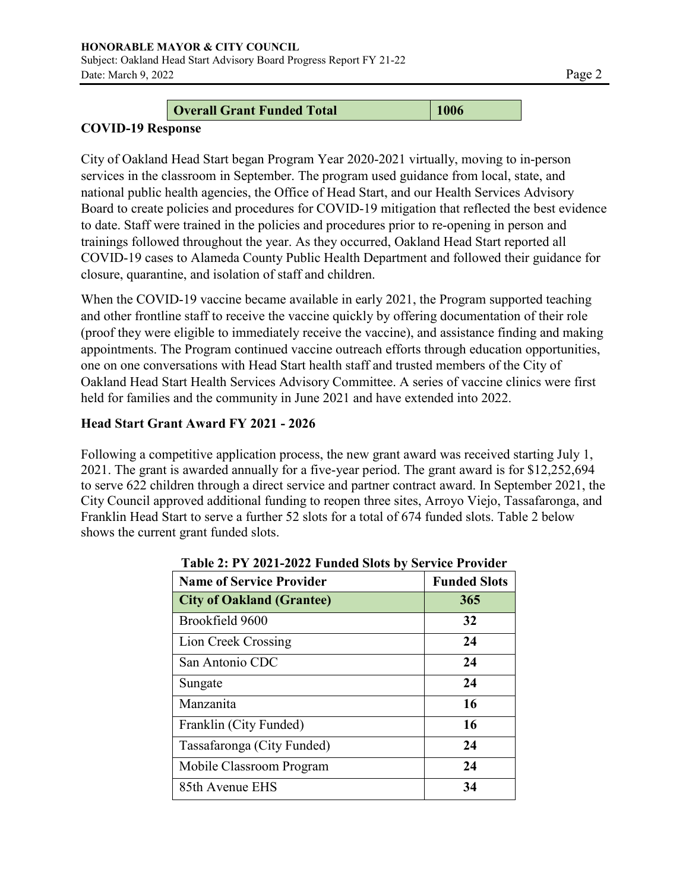# **Overall Grant Funded Total 1006**

# **COVID-19 Response**

City of Oakland Head Start began Program Year 2020-2021 virtually, moving to in-person services in the classroom in September. The program used guidance from local, state, and national public health agencies, the Office of Head Start, and our Health Services Advisory Board to create policies and procedures for COVID-19 mitigation that reflected the best evidence to date. Staff were trained in the policies and procedures prior to re-opening in person and trainings followed throughout the year. As they occurred, Oakland Head Start reported all COVID-19 cases to Alameda County Public Health Department and followed their guidance for closure, quarantine, and isolation of staff and children.

When the COVID-19 vaccine became available in early 2021, the Program supported teaching and other frontline staff to receive the vaccine quickly by offering documentation of their role (proof they were eligible to immediately receive the vaccine), and assistance finding and making appointments. The Program continued vaccine outreach efforts through education opportunities, one on one conversations with Head Start health staff and trusted members of the City of Oakland Head Start Health Services Advisory Committee. A series of vaccine clinics were first held for families and the community in June 2021 and have extended into 2022.

# **Head Start Grant Award FY 2021 - 2026**

Following a competitive application process, the new grant award was received starting July 1, 2021. The grant is awarded annually for a five-year period. The grant award is for \$12,252,694 to serve 622 children through a direct service and partner contract award. In September 2021, the City Council approved additional funding to reopen three sites, Arroyo Viejo, Tassafaronga, and Franklin Head Start to serve a further 52 slots for a total of 674 funded slots. Table 2 below shows the current grant funded slots.

| <b>Name of Service Provider</b>  | <b>Funded Slots</b> |
|----------------------------------|---------------------|
| <b>City of Oakland (Grantee)</b> | 365                 |
| Brookfield 9600                  | 32                  |
| Lion Creek Crossing              | 24                  |
| San Antonio CDC                  | 24                  |
| Sungate                          | 24                  |
| Manzanita                        | 16                  |
| Franklin (City Funded)           | 16                  |
| Tassafaronga (City Funded)       | 24                  |
| Mobile Classroom Program         | 24                  |
| 85th Avenue EHS                  | 34                  |

|  |  |  |  | Table 2: PY 2021-2022 Funded Slots by Service Provider |
|--|--|--|--|--------------------------------------------------------|
|--|--|--|--|--------------------------------------------------------|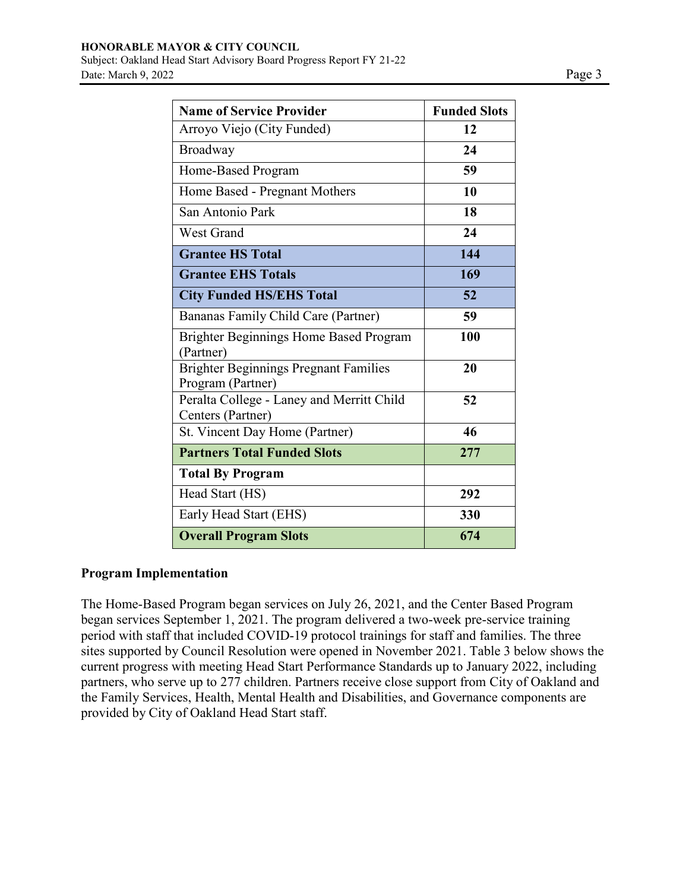| <b>Name of Service Provider</b>                                   | <b>Funded Slots</b> |
|-------------------------------------------------------------------|---------------------|
| Arroyo Viejo (City Funded)                                        | 12                  |
| Broadway                                                          | 24                  |
| Home-Based Program                                                | 59                  |
| Home Based - Pregnant Mothers                                     | 10                  |
| San Antonio Park                                                  | 18                  |
| <b>West Grand</b>                                                 | 24                  |
| <b>Grantee HS Total</b>                                           | 144                 |
| <b>Grantee EHS Totals</b>                                         | 169                 |
| <b>City Funded HS/EHS Total</b>                                   | 52                  |
| Bananas Family Child Care (Partner)                               | 59                  |
| Brighter Beginnings Home Based Program<br>(Partner)               | 100                 |
| <b>Brighter Beginnings Pregnant Families</b><br>Program (Partner) | 20                  |
| Peralta College - Laney and Merritt Child<br>Centers (Partner)    | 52                  |
| St. Vincent Day Home (Partner)                                    | 46                  |
| <b>Partners Total Funded Slots</b>                                | 277                 |
| <b>Total By Program</b>                                           |                     |
| Head Start (HS)                                                   | 292                 |
| Early Head Start (EHS)                                            | 330                 |
| <b>Overall Program Slots</b>                                      | 674                 |

# **Program Implementation**

The Home-Based Program began services on July 26, 2021, and the Center Based Program began services September 1, 2021. The program delivered a two-week pre-service training period with staff that included COVID-19 protocol trainings for staff and families. The three sites supported by Council Resolution were opened in November 2021. Table 3 below shows the current progress with meeting Head Start Performance Standards up to January 2022, including partners, who serve up to 277 children. Partners receive close support from City of Oakland and the Family Services, Health, Mental Health and Disabilities, and Governance components are provided by City of Oakland Head Start staff.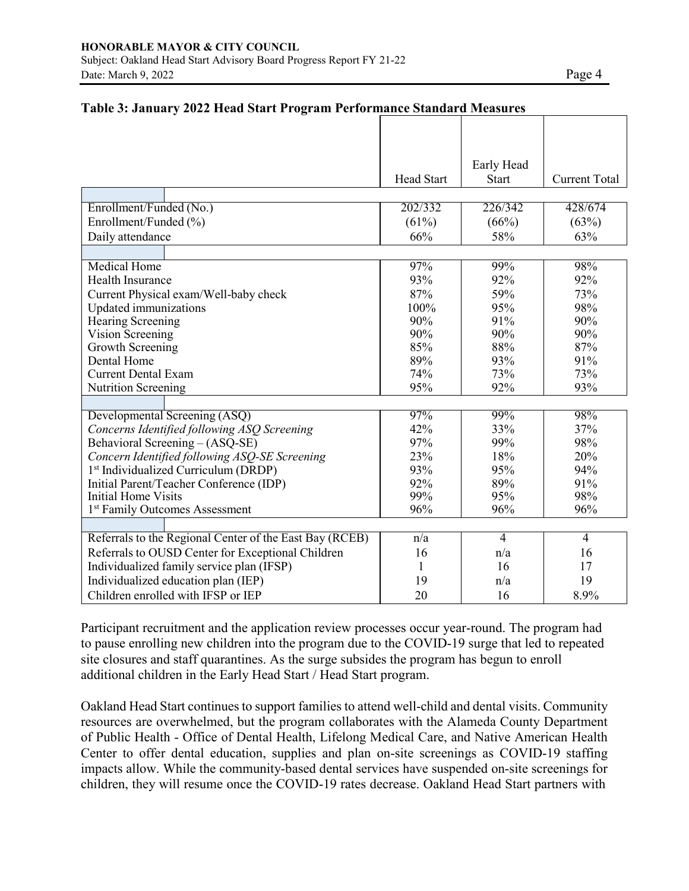|                                                         | <b>Head Start</b> | Early Head     |                      |
|---------------------------------------------------------|-------------------|----------------|----------------------|
|                                                         |                   | <b>Start</b>   | <b>Current Total</b> |
|                                                         | 202/332           | 226/342        | 428/674              |
| Enrollment/Funded (No.)                                 |                   |                |                      |
| Enrollment/Funded (%)                                   | (61%)             | (66%)          | (63%)                |
| Daily attendance                                        | 66%               | 58%            | 63%                  |
|                                                         |                   |                |                      |
| <b>Medical Home</b>                                     | 97%               | 99%            | 98%                  |
| Health Insurance                                        | 93%               | 92%            | 92%                  |
| Current Physical exam/Well-baby check                   | 87%               | 59%            | 73%                  |
| Updated immunizations                                   | 100%              | 95%            | 98%                  |
| <b>Hearing Screening</b>                                | 90%               | 91%            | 90%                  |
| Vision Screening                                        | 90%               | 90%            | 90%                  |
| Growth Screening                                        | 85%               | 88%            | 87%                  |
| Dental Home                                             | 89%               | 93%            | 91%                  |
| <b>Current Dental Exam</b>                              | 74%               | 73%            | 73%                  |
| <b>Nutrition Screening</b>                              | 95%               | 92%            | 93%                  |
|                                                         |                   |                |                      |
| Developmental Screening (ASQ)                           | 97%               | 99%            | 98%                  |
| Concerns Identified following ASQ Screening             | 42%               | 33%            | 37%                  |
| Behavioral Screening - (ASQ-SE)                         | 97%               | 99%            | 98%                  |
| Concern Identified following ASQ-SE Screening           | 23%               | 18%            | 20%                  |
| 1 <sup>st</sup> Individualized Curriculum (DRDP)        | 93%               | 95%            | 94%                  |
| Initial Parent/Teacher Conference (IDP)                 | 92%               | 89%            | 91%                  |
| <b>Initial Home Visits</b>                              | 99%               | 95%            | 98%                  |
| 1 <sup>st</sup> Family Outcomes Assessment              | 96%               | 96%            | 96%                  |
|                                                         |                   |                |                      |
| Referrals to the Regional Center of the East Bay (RCEB) | $\overline{n/a}$  | $\overline{4}$ | 4                    |
| Referrals to OUSD Center for Exceptional Children       | 16                | n/a            | 16                   |
| Individualized family service plan (IFSP)               | 1                 | 16             | 17                   |
| Individualized education plan (IEP)                     | 19                | n/a            | 19                   |
| Children enrolled with IFSP or IEP                      | 20                | 16             | 8.9%                 |

## **Table 3: January 2022 Head Start Program Performance Standard Measures**

Participant recruitment and the application review processes occur year-round. The program had to pause enrolling new children into the program due to the COVID-19 surge that led to repeated site closures and staff quarantines. As the surge subsides the program has begun to enroll additional children in the Early Head Start / Head Start program.

Oakland Head Start continues to support families to attend well-child and dental visits. Community resources are overwhelmed, but the program collaborates with the Alameda County Department of Public Health - Office of Dental Health, Lifelong Medical Care, and Native American Health Center to offer dental education, supplies and plan on-site screenings as COVID-19 staffing impacts allow. While the community-based dental services have suspended on-site screenings for children, they will resume once the COVID-19 rates decrease. Oakland Head Start partners with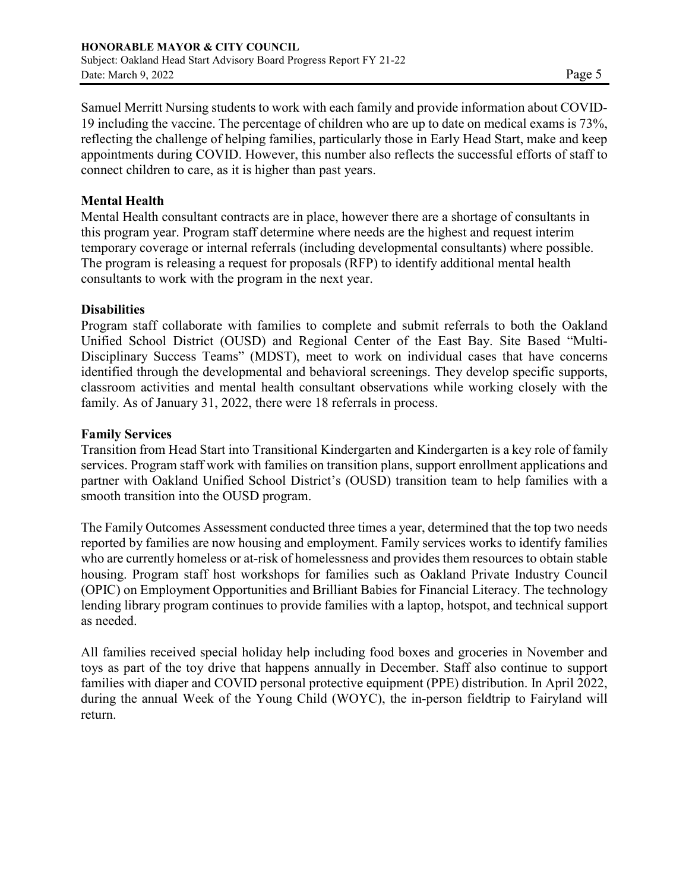Samuel Merritt Nursing students to work with each family and provide information about COVID-19 including the vaccine. The percentage of children who are up to date on medical exams is 73%, reflecting the challenge of helping families, particularly those in Early Head Start, make and keep appointments during COVID. However, this number also reflects the successful efforts of staff to connect children to care, as it is higher than past years.

## **Mental Health**

Mental Health consultant contracts are in place, however there are a shortage of consultants in this program year. Program staff determine where needs are the highest and request interim temporary coverage or internal referrals (including developmental consultants) where possible. The program is releasing a request for proposals (RFP) to identify additional mental health consultants to work with the program in the next year.

## **Disabilities**

Program staff collaborate with families to complete and submit referrals to both the Oakland Unified School District (OUSD) and Regional Center of the East Bay. Site Based "Multi-Disciplinary Success Teams" (MDST), meet to work on individual cases that have concerns identified through the developmental and behavioral screenings. They develop specific supports, classroom activities and mental health consultant observations while working closely with the family. As of January 31, 2022, there were 18 referrals in process.

## **Family Services**

Transition from Head Start into Transitional Kindergarten and Kindergarten is a key role of family services. Program staff work with families on transition plans, support enrollment applications and partner with Oakland Unified School District's (OUSD) transition team to help families with a smooth transition into the OUSD program.

The Family Outcomes Assessment conducted three times a year, determined that the top two needs reported by families are now housing and employment. Family services works to identify families who are currently homeless or at-risk of homelessness and provides them resources to obtain stable housing. Program staff host workshops for families such as Oakland Private Industry Council (OPIC) on Employment Opportunities and Brilliant Babies for Financial Literacy. The technology lending library program continues to provide families with a laptop, hotspot, and technical support as needed.

All families received special holiday help including food boxes and groceries in November and toys as part of the toy drive that happens annually in December. Staff also continue to support families with diaper and COVID personal protective equipment (PPE) distribution. In April 2022, during the annual Week of the Young Child (WOYC), the in-person fieldtrip to Fairyland will return.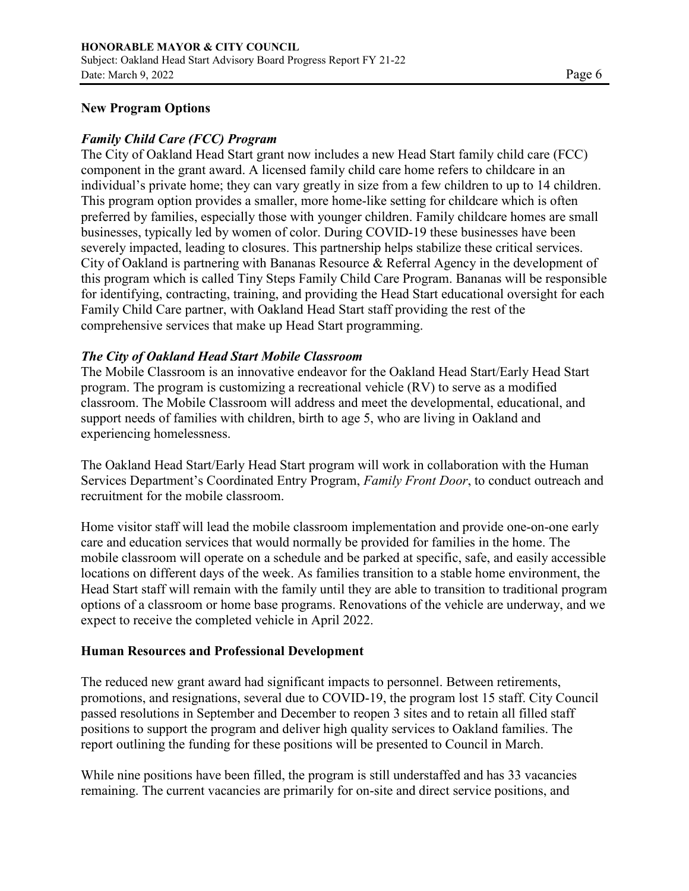#### **New Program Options**

#### *Family Child Care (FCC) Program*

The City of Oakland Head Start grant now includes a new Head Start family child care (FCC) component in the grant award. A licensed family child care home refers to childcare in an individual's private home; they can vary greatly in size from a few children to up to 14 children. This program option provides a smaller, more home-like setting for childcare which is often preferred by families, especially those with younger children. Family childcare homes are small businesses, typically led by women of color. During COVID-19 these businesses have been severely impacted, leading to closures. This partnership helps stabilize these critical services. City of Oakland is partnering with Bananas Resource & Referral Agency in the development of this program which is called Tiny Steps Family Child Care Program. Bananas will be responsible for identifying, contracting, training, and providing the Head Start educational oversight for each Family Child Care partner, with Oakland Head Start staff providing the rest of the comprehensive services that make up Head Start programming.

## *The City of Oakland Head Start Mobile Classroom*

The Mobile Classroom is an innovative endeavor for the Oakland Head Start/Early Head Start program. The program is customizing a recreational vehicle (RV) to serve as a modified classroom. The Mobile Classroom will address and meet the developmental, educational, and support needs of families with children, birth to age 5, who are living in Oakland and experiencing homelessness.

The Oakland Head Start/Early Head Start program will work in collaboration with the Human Services Department's Coordinated Entry Program, *Family Front Door*, to conduct outreach and recruitment for the mobile classroom.

Home visitor staff will lead the mobile classroom implementation and provide one-on-one early care and education services that would normally be provided for families in the home. The mobile classroom will operate on a schedule and be parked at specific, safe, and easily accessible locations on different days of the week. As families transition to a stable home environment, the Head Start staff will remain with the family until they are able to transition to traditional program options of a classroom or home base programs. Renovations of the vehicle are underway, and we expect to receive the completed vehicle in April 2022.

#### **Human Resources and Professional Development**

The reduced new grant award had significant impacts to personnel. Between retirements, promotions, and resignations, several due to COVID-19, the program lost 15 staff. City Council passed resolutions in September and December to reopen 3 sites and to retain all filled staff positions to support the program and deliver high quality services to Oakland families. The report outlining the funding for these positions will be presented to Council in March.

While nine positions have been filled, the program is still understaffed and has 33 vacancies remaining. The current vacancies are primarily for on-site and direct service positions, and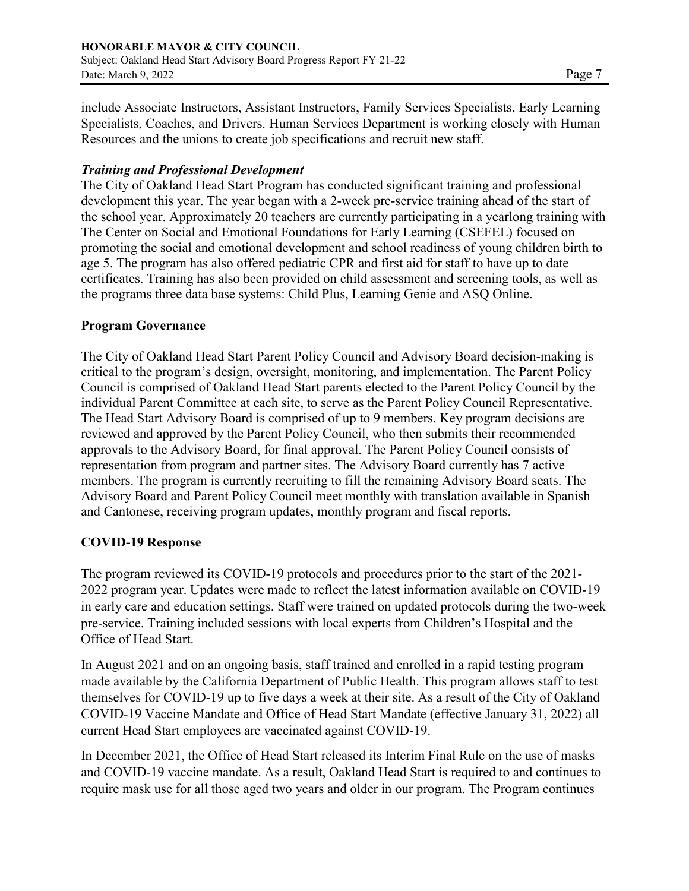include Associate Instructors, Assistant Instructors, Family Services Specialists, Early Learning Specialists, Coaches, and Drivers. Human Services Department is working closely with Human Resources and the unions to create job specifications and recruit new staff.

# *Training and Professional Development*

The City of Oakland Head Start Program has conducted significant training and professional development this year. The year began with a 2-week pre-service training ahead of the start of the school year. Approximately 20 teachers are currently participating in a yearlong training with The Center on Social and Emotional Foundations for Early Learning (CSEFEL) focused on promoting the social and emotional development and school readiness of young children birth to age 5. The program has also offered pediatric CPR and first aid for staff to have up to date certificates. Training has also been provided on child assessment and screening tools, as well as the programs three data base systems: Child Plus, Learning Genie and ASQ Online.

## **Program Governance**

The City of Oakland Head Start Parent Policy Council and Advisory Board decision-making is critical to the program's design, oversight, monitoring, and implementation. The Parent Policy Council is comprised of Oakland Head Start parents elected to the Parent Policy Council by the individual Parent Committee at each site, to serve as the Parent Policy Council Representative. The Head Start Advisory Board is comprised of up to 9 members. Key program decisions are reviewed and approved by the Parent Policy Council, who then submits their recommended approvals to the Advisory Board, for final approval. The Parent Policy Council consists of representation from program and partner sites. The Advisory Board currently has 7 active members. The program is currently recruiting to fill the remaining Advisory Board seats. The Advisory Board and Parent Policy Council meet monthly with translation available in Spanish and Cantonese, receiving program updates, monthly program and fiscal reports.

# **COVID-19 Response**

The program reviewed its COVID-19 protocols and procedures prior to the start of the 2021- 2022 program year. Updates were made to reflect the latest information available on COVID-19 in early care and education settings. Staff were trained on updated protocols during the two-week pre-service. Training included sessions with local experts from Children's Hospital and the Office of Head Start.

In August 2021 and on an ongoing basis, staff trained and enrolled in a rapid testing program made available by the California Department of Public Health. This program allows staff to test themselves for COVID-19 up to five days a week at their site. As a result of the City of Oakland COVID-19 Vaccine Mandate and Office of Head Start Mandate (effective January 31, 2022) all current Head Start employees are vaccinated against COVID-19.

In December 2021, the Office of Head Start released its Interim Final Rule on the use of masks and COVID-19 vaccine mandate. As a result, Oakland Head Start is required to and continues to require mask use for all those aged two years and older in our program. The Program continues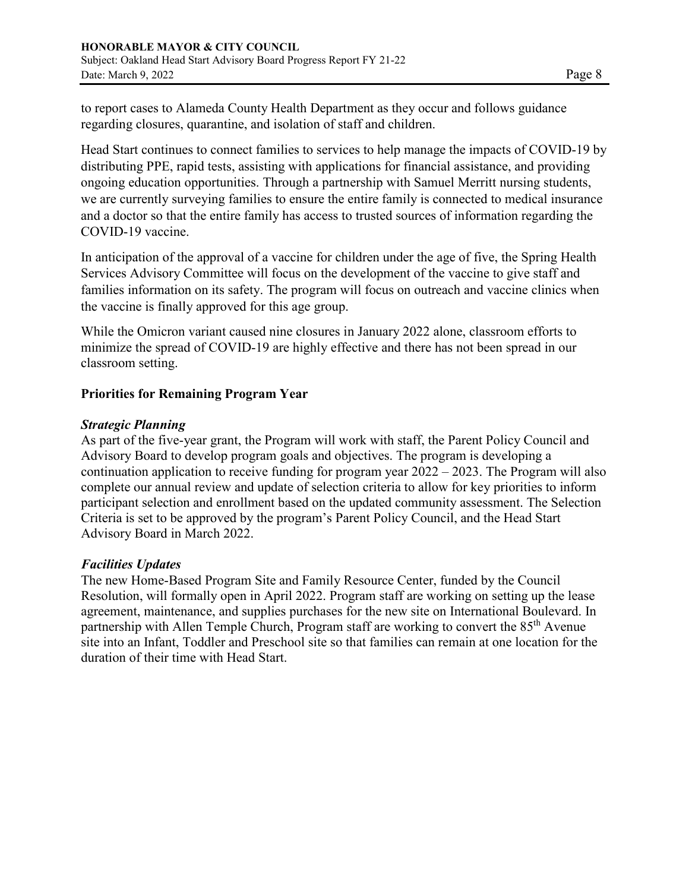to report cases to Alameda County Health Department as they occur and follows guidance regarding closures, quarantine, and isolation of staff and children.

Head Start continues to connect families to services to help manage the impacts of COVID-19 by distributing PPE, rapid tests, assisting with applications for financial assistance, and providing ongoing education opportunities. Through a partnership with Samuel Merritt nursing students, we are currently surveying families to ensure the entire family is connected to medical insurance and a doctor so that the entire family has access to trusted sources of information regarding the COVID-19 vaccine.

In anticipation of the approval of a vaccine for children under the age of five, the Spring Health Services Advisory Committee will focus on the development of the vaccine to give staff and families information on its safety. The program will focus on outreach and vaccine clinics when the vaccine is finally approved for this age group.

While the Omicron variant caused nine closures in January 2022 alone, classroom efforts to minimize the spread of COVID-19 are highly effective and there has not been spread in our classroom setting.

## **Priorities for Remaining Program Year**

#### *Strategic Planning*

As part of the five-year grant, the Program will work with staff, the Parent Policy Council and Advisory Board to develop program goals and objectives. The program is developing a continuation application to receive funding for program year 2022 – 2023. The Program will also complete our annual review and update of selection criteria to allow for key priorities to inform participant selection and enrollment based on the updated community assessment. The Selection Criteria is set to be approved by the program's Parent Policy Council, and the Head Start Advisory Board in March 2022.

# *Facilities Updates*

The new Home-Based Program Site and Family Resource Center, funded by the Council Resolution, will formally open in April 2022. Program staff are working on setting up the lease agreement, maintenance, and supplies purchases for the new site on International Boulevard. In partnership with Allen Temple Church, Program staff are working to convert the 85<sup>th</sup> Avenue site into an Infant, Toddler and Preschool site so that families can remain at one location for the duration of their time with Head Start.